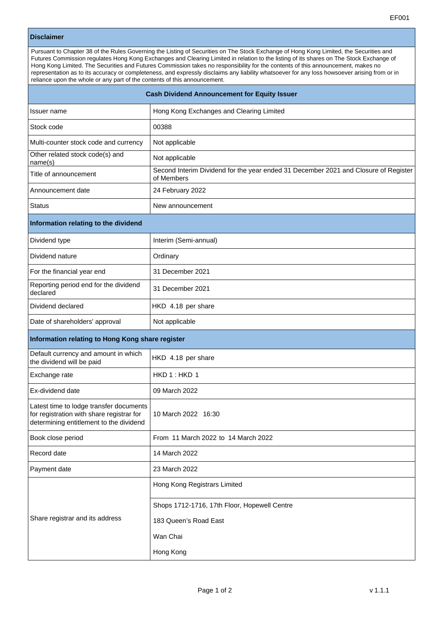## **Disclaimer**

Pursuant to Chapter 38 of the Rules Governing the Listing of Securities on The Stock Exchange of Hong Kong Limited, the Securities and Futures Commission regulates Hong Kong Exchanges and Clearing Limited in relation to the listing of its shares on The Stock Exchange of Hong Kong Limited. The Securities and Futures Commission takes no responsibility for the contents of this announcement, makes no representation as to its accuracy or completeness, and expressly disclaims any liability whatsoever for any loss howsoever arising from or in reliance upon the whole or any part of the contents of this announcement.

| <b>Cash Dividend Announcement for Equity Issuer</b>                                                                             |                                                                                                   |
|---------------------------------------------------------------------------------------------------------------------------------|---------------------------------------------------------------------------------------------------|
| Issuer name                                                                                                                     | Hong Kong Exchanges and Clearing Limited                                                          |
| Stock code                                                                                                                      | 00388                                                                                             |
| Multi-counter stock code and currency                                                                                           | Not applicable                                                                                    |
| Other related stock code(s) and<br>name(s)                                                                                      | Not applicable                                                                                    |
| Title of announcement                                                                                                           | Second Interim Dividend for the year ended 31 December 2021 and Closure of Register<br>of Members |
| Announcement date                                                                                                               | 24 February 2022                                                                                  |
| <b>Status</b>                                                                                                                   | New announcement                                                                                  |
| Information relating to the dividend                                                                                            |                                                                                                   |
| Dividend type                                                                                                                   | Interim (Semi-annual)                                                                             |
| Dividend nature                                                                                                                 | Ordinary                                                                                          |
| For the financial year end                                                                                                      | 31 December 2021                                                                                  |
| Reporting period end for the dividend<br>declared                                                                               | 31 December 2021                                                                                  |
| Dividend declared                                                                                                               | HKD 4.18 per share                                                                                |
| Date of shareholders' approval                                                                                                  | Not applicable                                                                                    |
| Information relating to Hong Kong share register                                                                                |                                                                                                   |
| Default currency and amount in which<br>the dividend will be paid                                                               | HKD 4.18 per share                                                                                |
| Exchange rate                                                                                                                   | HKD 1: HKD 1                                                                                      |
| Ex-dividend date                                                                                                                | 09 March 2022                                                                                     |
| Latest time to lodge transfer documents<br>for registration with share registrar for<br>determining entitlement to the dividend | 10 March 2022 16:30                                                                               |
| Book close period                                                                                                               | From 11 March 2022 to 14 March 2022                                                               |
| Record date                                                                                                                     | 14 March 2022                                                                                     |
| Payment date                                                                                                                    | 23 March 2022                                                                                     |
| Share registrar and its address                                                                                                 | Hong Kong Registrars Limited                                                                      |
|                                                                                                                                 | Shops 1712-1716, 17th Floor, Hopewell Centre                                                      |
|                                                                                                                                 | 183 Queen's Road East                                                                             |
|                                                                                                                                 | Wan Chai                                                                                          |
|                                                                                                                                 | Hong Kong                                                                                         |